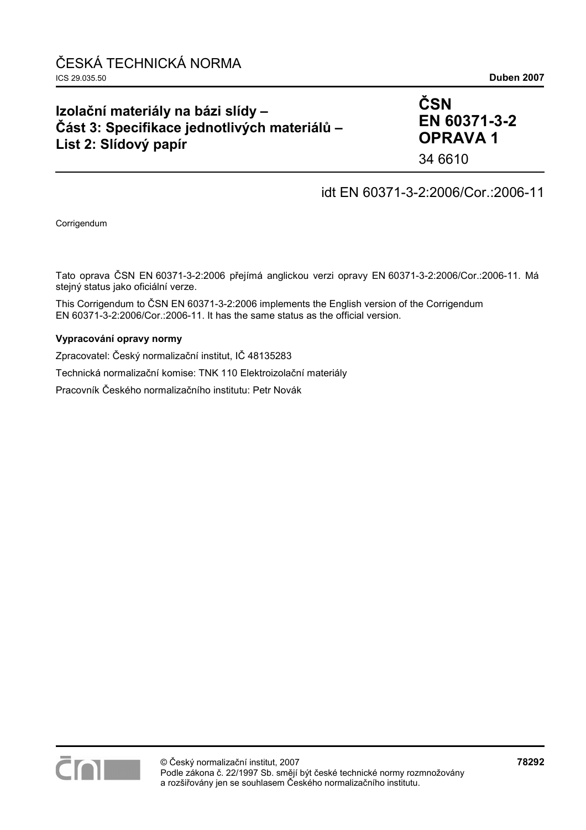# **Izolační materiály na bázi slídy – Část 3: Specifikace jednotlivých materiálů – List 2: Slídový papír**

# **ČSN EN 60371-3-2 OPRAVA 1**

34 6610

## idt EN 60371-3-2:2006/Cor.:2006-11

Corrigendum

Tato oprava ČSN EN 60371-3-2:2006 přejímá anglickou verzi opravy EN 60371-3-2:2006/Cor.:2006-11. Má stejný status jako oficiální verze.

This Corrigendum to ČSN EN 60371-3-2:2006 implements the English version of the Corrigendum EN 60371-3-2:2006/Cor.:2006-11. It has the same status as the official version.

#### **Vypracování opravy normy**

Zpracovatel: Český normalizační institut, IČ 48135283

Technická normalizační komise: TNK 110 Elektroizolační materiály

Pracovník Českého normalizačního institutu: Petr Novák

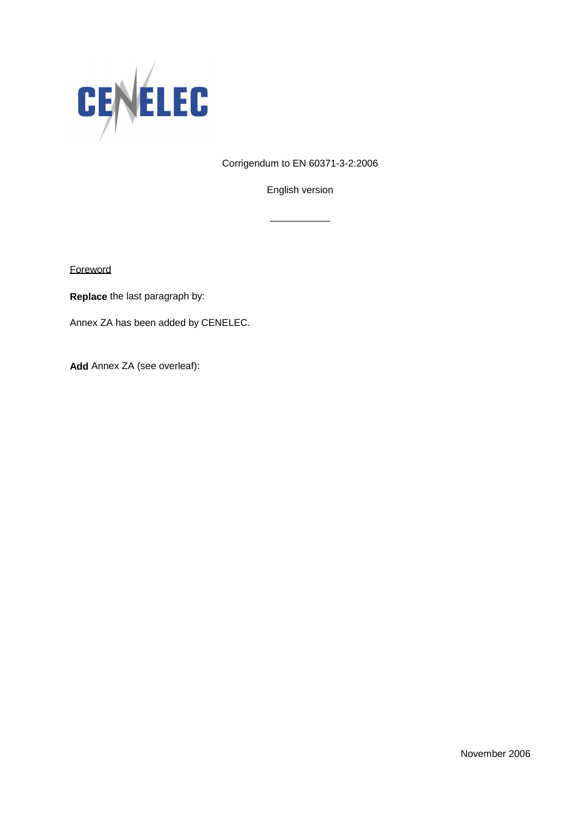

Corrigendum to EN 60371-3-2:2006

English version

\_\_\_\_\_\_\_\_\_\_\_

**Foreword** 

**Replace** the last paragraph by:

Annex ZA has been added by CENELEC.

**Add** Annex ZA (see overleaf):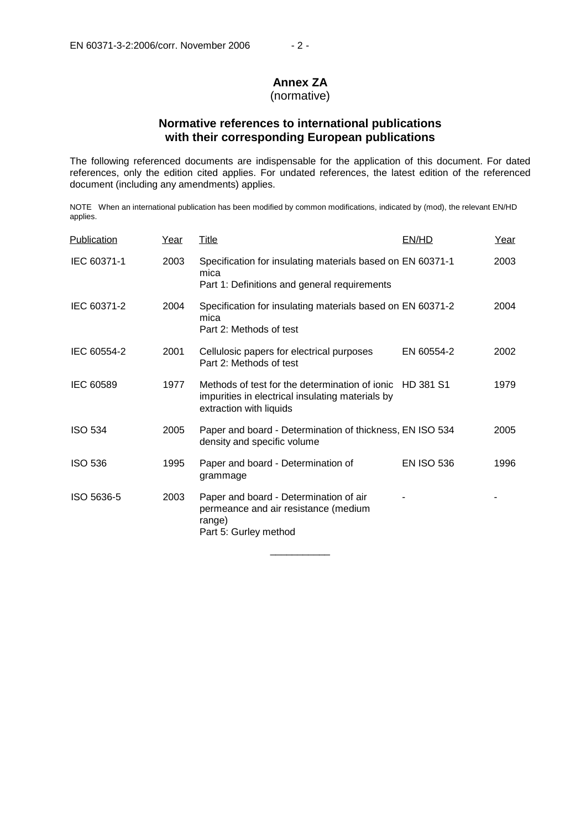### **Annex ZA**

#### (normative)

### **Normative references to international publications with their corresponding European publications**

The following referenced documents are indispensable for the application of this document. For dated references, only the edition cited applies. For undated references, the latest edition of the referenced document (including any amendments) applies.

NOTE When an international publication has been modified by common modifications, indicated by (mod), the relevant EN/HD applies.

| Publication    | Year | <b>Title</b>                                                                                                                            | EN/HD             | Year |
|----------------|------|-----------------------------------------------------------------------------------------------------------------------------------------|-------------------|------|
| IEC 60371-1    | 2003 | Specification for insulating materials based on EN 60371-1<br>mica<br>Part 1: Definitions and general requirements                      |                   | 2003 |
| IEC 60371-2    | 2004 | Specification for insulating materials based on EN 60371-2<br>mica<br>Part 2: Methods of test                                           |                   | 2004 |
| IEC 60554-2    | 2001 | Cellulosic papers for electrical purposes<br>Part 2: Methods of test                                                                    | EN 60554-2        | 2002 |
| IEC 60589      | 1977 | Methods of test for the determination of ionic HD 381 S1<br>impurities in electrical insulating materials by<br>extraction with liquids |                   | 1979 |
| <b>ISO 534</b> | 2005 | Paper and board - Determination of thickness, EN ISO 534<br>density and specific volume                                                 |                   | 2005 |
| <b>ISO 536</b> | 1995 | Paper and board - Determination of<br>grammage                                                                                          | <b>EN ISO 536</b> | 1996 |
| ISO 5636-5     | 2003 | Paper and board - Determination of air<br>permeance and air resistance (medium<br>range)<br>Part 5: Gurley method                       |                   |      |

\_\_\_\_\_\_\_\_\_\_\_